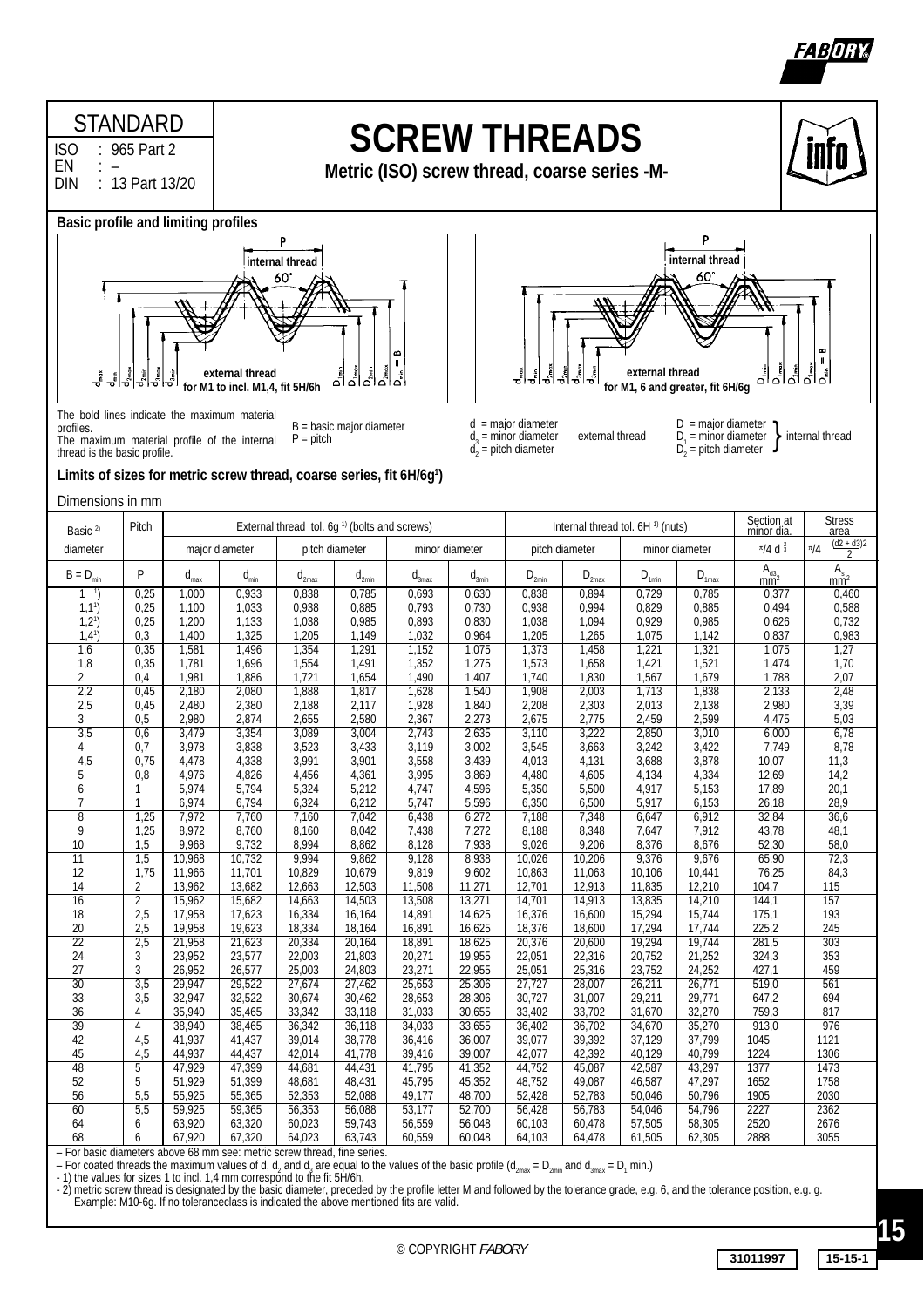



 $D =$  major diameter

60

for M1, 6 and greater, fit 6H/6g

 $D_2$  = pitch diameter

 $D_1$  = minor diameter **internal thread** 

۵

}

### **STANDARD**

ISO : 965 Part 2 EN<br>DIN : 13 Part 13/20

# **SCREW THREADS**

**Metric (ISO) screw thread, coarse series -M-**

d = major diameter

 $d_2^{\prime}$  = pitch diameter

 $d_3$  = minor diameter external thread

### **Basic profile and limiting profiles**



B = basic major diameter  $P = pitch$ The bold lines indicate the maximum material profiles. The maximum material profile of the internal thread is the basic profile.

| Dimensions in mm<br><b>Stress</b><br>Section at<br>External thread tol. 6g <sup>1)</sup> (bolts and screws)<br>Pitch<br>Internal thread tol. 6H <sup>1)</sup> (nuts)<br>Basic <sup>2)</sup><br>minor dia<br>area<br>$(d2 + d3)2$<br>$\frac{\pi}{4}$ d $\frac{2}{3}$<br>$\frac{\pi}{4}$<br>major diameter<br>minor diameter<br>diameter<br>pitch diameter<br>pitch diameter<br>minor diameter<br>$\overline{2}$<br>$As$ <sub>mm<sup>2</sup></sub><br>$A_{d3_2}$ <sub>mm<sup>2</sup></sub><br>P<br>$B = D_{min}$<br>$d_{max}$<br>$d_{min}$<br>$d_{2max}$<br>$\mathbf{d}_{_{3max}}$<br>$d_{_{3min}}$<br>$\mathsf{D}_{\text{2min}}$<br>$D_{2max}$<br>$D_{1min}$<br>$D_{\underset{\underbar{\smash{\smash{\mathsf{D}}}}}{\underbar{\smash{\mathsf{m}}}}\mathsf{a}\mathsf{x}}$<br>$d_{2min}$<br>0,933<br>0,838<br>0,693<br>0,630<br>0,894<br>0,729<br>0,785<br>0,25<br>1,000<br>0,785<br>0,838<br>0,377<br>0,460<br>0,938<br>0,994<br>0,588<br>0,25<br>1,100<br>0,885<br>0,793<br>0,730<br>0,938<br>0,829<br>0,885<br>0,494<br>$1,1$ <sup>1</sup> )<br>1,033<br>$1,2^{1}$<br>0,985<br>0,893<br>1,094<br>0,929<br>0,985<br>0,732<br>0,25<br>1,200<br>1,133<br>1,038<br>0,830<br>1,038<br>0,626<br>1,205<br>1,032<br>0,964<br>1,205<br>1,265<br>1,075<br>0,837<br>0,983<br>$1,4^{1}$<br>0,3<br>1,400<br>1,325<br>1,149<br>1,142<br>1,6<br>0,35<br>1,581<br>1,354<br>1,291<br>1,152<br>1,075<br>1,373<br>1,458<br>1,221<br>1,321<br>1,075<br>1,27<br>1,496<br>1,8<br>1,554<br>1,491<br>1,352<br>1,658<br>1,70<br>0,35<br>1,781<br>1,696<br>1,275<br>1,573<br>1,421<br>1,521<br>1,474<br>1,490<br>2,07<br>1,981<br>1,721<br>1,654<br>1,407<br>1,740<br>1,830<br>1,567<br>1,679<br>1,788<br>2<br>0,4<br>1,886<br>1,838<br>2,2<br>1,888<br>1,628<br>1,908<br>2,003<br>2,133<br>2,48<br>0,45<br>2,180<br>2,080<br>1,817<br>1,540<br>1,713<br>1,928<br>2,013<br>3,39<br>2,5<br>2,480<br>2,380<br>2,188<br>2,117<br>1,840<br>2,208<br>2,303<br>2,138<br>2,980<br>0,45<br>2,367<br>2,775<br>2,599<br>5,03<br>3<br>0,5<br>2,980<br>2,874<br>2,655<br>2,580<br>2,273<br>2,675<br>2,459<br>4,475<br>3,010<br>$\overline{3,5}$<br>2,743<br>3,110<br>3,222<br>6,78<br>3,479<br>3,354<br>3,089<br>3,004<br>2,635<br>2,850<br>6,000<br>0,6<br>3,838<br>3,523<br>3,433<br>3,119<br>3,663<br>7,749<br>8,78<br>0,7<br>3,978<br>3,002<br>3,545<br>3,242<br>3,422<br>4<br>3,991<br>3,558<br>3,688<br>3,878<br>4,5<br>0,75<br>4,478<br>4,338<br>3,901<br>3,439<br>4,013<br>4,131<br>10,07<br>11,3<br>14,2<br>3,995<br>4,334<br>5<br>0,8<br>4,976<br>4,826<br>4,456<br>4,361<br>3,869<br>4,480<br>4,605<br>4,134<br>12,69<br>5,153<br>17,89<br>20,1<br>5,974<br>5,794<br>5,324<br>5,212<br>4,747<br>4,596<br>5,350<br>5,500<br>4,917<br>6<br>1<br>26,18<br>6,794<br>6,324<br>6,212<br>5,747<br>6,500<br>5,917<br>6,153<br>28,9<br>$\overline{7}$<br>1<br>6,974<br>5,596<br>6,350<br>$\overline{8}$<br>6,438<br>6,912<br>32,84<br>36,6<br>1,25<br>7,972<br>7,760<br>7,160<br>7,042<br>6,272<br>7,188<br>7,348<br>6,647<br>7,912<br>9<br>1,25<br>8,972<br>8,760<br>8,160<br>8,042<br>7,438<br>7,272<br>8,188<br>8,348<br>7,647<br>43,78<br>48,1<br>8,862<br>8,128<br>7,938<br>9,026<br>9,206<br>8,376<br>52,30<br>58,0<br>10<br>1,5<br>9,968<br>9,732<br>8,994<br>8,676<br>$\overline{11}$<br>9,994<br>9,128<br>8,938<br>9,676<br>65,90<br>72,3<br>1,5<br>10,968<br>10,732<br>9,862<br>10,026<br>10,206<br>9,376<br>9,819<br>84,3<br>12<br>1,75<br>11,966<br>11,701<br>10,829<br>10,679<br>9,602<br>10,863<br>11,063<br>10,106<br>10,441<br>76,25<br>13,682<br>12,503<br>11,271<br>12,913<br>11,835<br>12,210<br>115<br>14<br>$\overline{2}$<br>13,962<br>12,663<br>11,508<br>12,701<br>104,7<br>$\overline{2}$<br>13,508<br>14,913<br>13,835<br>14,210<br>157<br>$\overline{16}$<br>15,962<br>15,682<br>14,663<br>14,503<br>13,271<br>14,701<br>144,1<br>17,958<br>16,334<br>14,891<br>16,376<br>15,294<br>15,744<br>193<br>2,5<br>17,623<br>16,164<br>14,625<br>16,600<br>175,1<br>18<br>19,958<br>16,891<br>16,625<br>17,744<br>225,2<br>2,5<br>19,623<br>18,334<br>18,164<br>18,376<br>18,600<br>17,294<br>245<br>20<br>$\overline{22}$<br>$\overline{303}$<br>$\overline{2,5}$<br>21,958<br>21,623<br>20,334<br>20,164<br>18,891<br>18,625<br>20,376<br>20,600<br>19,294<br>19,744<br>281,5<br>19,955<br>24<br>3<br>23,952<br>23,577<br>22,003<br>21,803<br>20,271<br>22,316<br>20,752<br>21,252<br>324,3<br>353<br>22,051<br>3<br>27<br>26,952<br>26,577<br>25,003<br>24,803<br>23,271<br>22,955<br>25,316<br>23,752<br>24,252<br>459<br>25,051<br>427,1<br>26,771<br>$\overline{30}$<br>29,522<br>519,0<br>$\overline{3,5}$<br>27,674<br>27,462<br>25,653<br>25,306<br>27,727<br>28,007<br>26,211<br>$\overline{561}$<br>29,947<br>33<br>32,522<br>30,727<br>31,007<br>29,771<br>694<br>3,5<br>32,947<br>30,674<br>30,462<br>28,653<br>28,306<br>29,211<br>647,2<br>759,3<br>31,033<br>33,702<br>32,270<br>36<br>4<br>35,940<br>35,465<br>33,342<br>33,118<br>30,655<br>33,402<br>31,670<br>817<br>35,270<br>$\overline{39}$<br>913,0<br>976<br>38,940<br>38,465<br>36,342<br>36,118<br>34,033<br>33,655<br>36,402<br>36,702<br>34,670<br>4<br>39,392<br>41,437<br>39,014<br>38,778<br>36,416<br>39,077<br>37,129<br>37,799<br>42<br>4,5<br>41,937<br>36,007<br>1045<br>1121<br>45<br>42,392<br>40,799<br>4,5<br>44,937<br>44,437<br>42,014<br>41,778<br>39,416<br>39,007<br>42,077<br>40,129<br>1224<br>1306<br>$\overline{48}$<br>47,399<br>43,297<br>5<br>47,929<br>44,431<br>41,795<br>41,352<br>44,752<br>45,087<br>42,587<br>1377<br>1473<br>44,681<br>52<br>5<br>45,795<br>47,297<br>1758<br>51,929<br>51,399<br>45,352<br>48,752<br>49,087<br>46,587<br>1652<br>48,681<br>48,431<br>5,5<br>55,925<br>52,783<br>50,796<br>56<br>55,365<br>52,353<br>52,088<br>49,177<br>48,700<br>52,428<br>50,046<br>1905<br>2030<br>60<br>2362<br>5,5<br>59,365<br>53,177<br>56,783<br>54,796<br>2227<br>59,925<br>56,353<br>56,088<br>52,700<br>56,428<br>54,046<br>63,320<br>2676<br>64<br>63,920<br>60,023<br>59,743<br>56,559<br>56,048<br>60,478<br>57,505<br>58,305<br>2520<br>6<br>60,103<br>67,320<br>64,023<br>60,559<br>64,478<br>62,305<br>2888<br>3055<br>68<br>6<br>67,920<br>63,743<br>60,048<br>64,103<br>61,505<br>ave 60 mm see motric scrow throad fine series<br>Ear hacic diam<br>otherc | Limits of sizes for metric screw thread, coarse series, fit 6H/6g <sup>1</sup> ) |  |  |  |  |  |  |  |  |  |  |  |  |
|------------------------------------------------------------------------------------------------------------------------------------------------------------------------------------------------------------------------------------------------------------------------------------------------------------------------------------------------------------------------------------------------------------------------------------------------------------------------------------------------------------------------------------------------------------------------------------------------------------------------------------------------------------------------------------------------------------------------------------------------------------------------------------------------------------------------------------------------------------------------------------------------------------------------------------------------------------------------------------------------------------------------------------------------------------------------------------------------------------------------------------------------------------------------------------------------------------------------------------------------------------------------------------------------------------------------------------------------------------------------------------------------------------------------------------------------------------------------------------------------------------------------------------------------------------------------------------------------------------------------------------------------------------------------------------------------------------------------------------------------------------------------------------------------------------------------------------------------------------------------------------------------------------------------------------------------------------------------------------------------------------------------------------------------------------------------------------------------------------------------------------------------------------------------------------------------------------------------------------------------------------------------------------------------------------------------------------------------------------------------------------------------------------------------------------------------------------------------------------------------------------------------------------------------------------------------------------------------------------------------------------------------------------------------------------------------------------------------------------------------------------------------------------------------------------------------------------------------------------------------------------------------------------------------------------------------------------------------------------------------------------------------------------------------------------------------------------------------------------------------------------------------------------------------------------------------------------------------------------------------------------------------------------------------------------------------------------------------------------------------------------------------------------------------------------------------------------------------------------------------------------------------------------------------------------------------------------------------------------------------------------------------------------------------------------------------------------------------------------------------------------------------------------------------------------------------------------------------------------------------------------------------------------------------------------------------------------------------------------------------------------------------------------------------------------------------------------------------------------------------------------------------------------------------------------------------------------------------------------------------------------------------------------------------------------------------------------------------------------------------------------------------------------------------------------------------------------------------------------------------------------------------------------------------------------------------------------------------------------------------------------------------------------------------------------------------------------------------------------------------------------------------------------------------------------------------------------------------------------------------------------------------------------------------------------------------------------------------------------------------------------------------------------------------------------------------------------------------------------------------------------------------------------------------------------------------------------------------------------------------------------------------------------------------------------------------------------------------------------------------------------------------------------------------------------------------------------------------------------------------------------------------------------------------------------------------------------------------------------------------------------------------------------------------------------------------------------------------------------------------------------------------------------------------------------------------------------------------------------------------------------------------------------------------------------------------------------------------------------------------------------------------------------------------------------------------------------------------------------------------------------------------------------------------------------------------------------------------------------------------------------------------------|----------------------------------------------------------------------------------|--|--|--|--|--|--|--|--|--|--|--|--|
|                                                                                                                                                                                                                                                                                                                                                                                                                                                                                                                                                                                                                                                                                                                                                                                                                                                                                                                                                                                                                                                                                                                                                                                                                                                                                                                                                                                                                                                                                                                                                                                                                                                                                                                                                                                                                                                                                                                                                                                                                                                                                                                                                                                                                                                                                                                                                                                                                                                                                                                                                                                                                                                                                                                                                                                                                                                                                                                                                                                                                                                                                                                                                                                                                                                                                                                                                                                                                                                                                                                                                                                                                                                                                                                                                                                                                                                                                                                                                                                                                                                                                                                                                                                                                                                                                                                                                                                                                                                                                                                                                                                                                                                                                                                                                                                                                                                                                                                                                                                                                                                                                                                                                                                                                                                                                                                                                                                                                                                                                                                                                                                                                                                                                                                                                                                                                                                                                                                                                                                                                                                                                                                                                                                                                                                                              |                                                                                  |  |  |  |  |  |  |  |  |  |  |  |  |
|                                                                                                                                                                                                                                                                                                                                                                                                                                                                                                                                                                                                                                                                                                                                                                                                                                                                                                                                                                                                                                                                                                                                                                                                                                                                                                                                                                                                                                                                                                                                                                                                                                                                                                                                                                                                                                                                                                                                                                                                                                                                                                                                                                                                                                                                                                                                                                                                                                                                                                                                                                                                                                                                                                                                                                                                                                                                                                                                                                                                                                                                                                                                                                                                                                                                                                                                                                                                                                                                                                                                                                                                                                                                                                                                                                                                                                                                                                                                                                                                                                                                                                                                                                                                                                                                                                                                                                                                                                                                                                                                                                                                                                                                                                                                                                                                                                                                                                                                                                                                                                                                                                                                                                                                                                                                                                                                                                                                                                                                                                                                                                                                                                                                                                                                                                                                                                                                                                                                                                                                                                                                                                                                                                                                                                                                              |                                                                                  |  |  |  |  |  |  |  |  |  |  |  |  |
|                                                                                                                                                                                                                                                                                                                                                                                                                                                                                                                                                                                                                                                                                                                                                                                                                                                                                                                                                                                                                                                                                                                                                                                                                                                                                                                                                                                                                                                                                                                                                                                                                                                                                                                                                                                                                                                                                                                                                                                                                                                                                                                                                                                                                                                                                                                                                                                                                                                                                                                                                                                                                                                                                                                                                                                                                                                                                                                                                                                                                                                                                                                                                                                                                                                                                                                                                                                                                                                                                                                                                                                                                                                                                                                                                                                                                                                                                                                                                                                                                                                                                                                                                                                                                                                                                                                                                                                                                                                                                                                                                                                                                                                                                                                                                                                                                                                                                                                                                                                                                                                                                                                                                                                                                                                                                                                                                                                                                                                                                                                                                                                                                                                                                                                                                                                                                                                                                                                                                                                                                                                                                                                                                                                                                                                                              |                                                                                  |  |  |  |  |  |  |  |  |  |  |  |  |
|                                                                                                                                                                                                                                                                                                                                                                                                                                                                                                                                                                                                                                                                                                                                                                                                                                                                                                                                                                                                                                                                                                                                                                                                                                                                                                                                                                                                                                                                                                                                                                                                                                                                                                                                                                                                                                                                                                                                                                                                                                                                                                                                                                                                                                                                                                                                                                                                                                                                                                                                                                                                                                                                                                                                                                                                                                                                                                                                                                                                                                                                                                                                                                                                                                                                                                                                                                                                                                                                                                                                                                                                                                                                                                                                                                                                                                                                                                                                                                                                                                                                                                                                                                                                                                                                                                                                                                                                                                                                                                                                                                                                                                                                                                                                                                                                                                                                                                                                                                                                                                                                                                                                                                                                                                                                                                                                                                                                                                                                                                                                                                                                                                                                                                                                                                                                                                                                                                                                                                                                                                                                                                                                                                                                                                                                              |                                                                                  |  |  |  |  |  |  |  |  |  |  |  |  |
|                                                                                                                                                                                                                                                                                                                                                                                                                                                                                                                                                                                                                                                                                                                                                                                                                                                                                                                                                                                                                                                                                                                                                                                                                                                                                                                                                                                                                                                                                                                                                                                                                                                                                                                                                                                                                                                                                                                                                                                                                                                                                                                                                                                                                                                                                                                                                                                                                                                                                                                                                                                                                                                                                                                                                                                                                                                                                                                                                                                                                                                                                                                                                                                                                                                                                                                                                                                                                                                                                                                                                                                                                                                                                                                                                                                                                                                                                                                                                                                                                                                                                                                                                                                                                                                                                                                                                                                                                                                                                                                                                                                                                                                                                                                                                                                                                                                                                                                                                                                                                                                                                                                                                                                                                                                                                                                                                                                                                                                                                                                                                                                                                                                                                                                                                                                                                                                                                                                                                                                                                                                                                                                                                                                                                                                                              |                                                                                  |  |  |  |  |  |  |  |  |  |  |  |  |
|                                                                                                                                                                                                                                                                                                                                                                                                                                                                                                                                                                                                                                                                                                                                                                                                                                                                                                                                                                                                                                                                                                                                                                                                                                                                                                                                                                                                                                                                                                                                                                                                                                                                                                                                                                                                                                                                                                                                                                                                                                                                                                                                                                                                                                                                                                                                                                                                                                                                                                                                                                                                                                                                                                                                                                                                                                                                                                                                                                                                                                                                                                                                                                                                                                                                                                                                                                                                                                                                                                                                                                                                                                                                                                                                                                                                                                                                                                                                                                                                                                                                                                                                                                                                                                                                                                                                                                                                                                                                                                                                                                                                                                                                                                                                                                                                                                                                                                                                                                                                                                                                                                                                                                                                                                                                                                                                                                                                                                                                                                                                                                                                                                                                                                                                                                                                                                                                                                                                                                                                                                                                                                                                                                                                                                                                              |                                                                                  |  |  |  |  |  |  |  |  |  |  |  |  |
|                                                                                                                                                                                                                                                                                                                                                                                                                                                                                                                                                                                                                                                                                                                                                                                                                                                                                                                                                                                                                                                                                                                                                                                                                                                                                                                                                                                                                                                                                                                                                                                                                                                                                                                                                                                                                                                                                                                                                                                                                                                                                                                                                                                                                                                                                                                                                                                                                                                                                                                                                                                                                                                                                                                                                                                                                                                                                                                                                                                                                                                                                                                                                                                                                                                                                                                                                                                                                                                                                                                                                                                                                                                                                                                                                                                                                                                                                                                                                                                                                                                                                                                                                                                                                                                                                                                                                                                                                                                                                                                                                                                                                                                                                                                                                                                                                                                                                                                                                                                                                                                                                                                                                                                                                                                                                                                                                                                                                                                                                                                                                                                                                                                                                                                                                                                                                                                                                                                                                                                                                                                                                                                                                                                                                                                                              |                                                                                  |  |  |  |  |  |  |  |  |  |  |  |  |
|                                                                                                                                                                                                                                                                                                                                                                                                                                                                                                                                                                                                                                                                                                                                                                                                                                                                                                                                                                                                                                                                                                                                                                                                                                                                                                                                                                                                                                                                                                                                                                                                                                                                                                                                                                                                                                                                                                                                                                                                                                                                                                                                                                                                                                                                                                                                                                                                                                                                                                                                                                                                                                                                                                                                                                                                                                                                                                                                                                                                                                                                                                                                                                                                                                                                                                                                                                                                                                                                                                                                                                                                                                                                                                                                                                                                                                                                                                                                                                                                                                                                                                                                                                                                                                                                                                                                                                                                                                                                                                                                                                                                                                                                                                                                                                                                                                                                                                                                                                                                                                                                                                                                                                                                                                                                                                                                                                                                                                                                                                                                                                                                                                                                                                                                                                                                                                                                                                                                                                                                                                                                                                                                                                                                                                                                              |                                                                                  |  |  |  |  |  |  |  |  |  |  |  |  |
|                                                                                                                                                                                                                                                                                                                                                                                                                                                                                                                                                                                                                                                                                                                                                                                                                                                                                                                                                                                                                                                                                                                                                                                                                                                                                                                                                                                                                                                                                                                                                                                                                                                                                                                                                                                                                                                                                                                                                                                                                                                                                                                                                                                                                                                                                                                                                                                                                                                                                                                                                                                                                                                                                                                                                                                                                                                                                                                                                                                                                                                                                                                                                                                                                                                                                                                                                                                                                                                                                                                                                                                                                                                                                                                                                                                                                                                                                                                                                                                                                                                                                                                                                                                                                                                                                                                                                                                                                                                                                                                                                                                                                                                                                                                                                                                                                                                                                                                                                                                                                                                                                                                                                                                                                                                                                                                                                                                                                                                                                                                                                                                                                                                                                                                                                                                                                                                                                                                                                                                                                                                                                                                                                                                                                                                                              |                                                                                  |  |  |  |  |  |  |  |  |  |  |  |  |
|                                                                                                                                                                                                                                                                                                                                                                                                                                                                                                                                                                                                                                                                                                                                                                                                                                                                                                                                                                                                                                                                                                                                                                                                                                                                                                                                                                                                                                                                                                                                                                                                                                                                                                                                                                                                                                                                                                                                                                                                                                                                                                                                                                                                                                                                                                                                                                                                                                                                                                                                                                                                                                                                                                                                                                                                                                                                                                                                                                                                                                                                                                                                                                                                                                                                                                                                                                                                                                                                                                                                                                                                                                                                                                                                                                                                                                                                                                                                                                                                                                                                                                                                                                                                                                                                                                                                                                                                                                                                                                                                                                                                                                                                                                                                                                                                                                                                                                                                                                                                                                                                                                                                                                                                                                                                                                                                                                                                                                                                                                                                                                                                                                                                                                                                                                                                                                                                                                                                                                                                                                                                                                                                                                                                                                                                              |                                                                                  |  |  |  |  |  |  |  |  |  |  |  |  |
|                                                                                                                                                                                                                                                                                                                                                                                                                                                                                                                                                                                                                                                                                                                                                                                                                                                                                                                                                                                                                                                                                                                                                                                                                                                                                                                                                                                                                                                                                                                                                                                                                                                                                                                                                                                                                                                                                                                                                                                                                                                                                                                                                                                                                                                                                                                                                                                                                                                                                                                                                                                                                                                                                                                                                                                                                                                                                                                                                                                                                                                                                                                                                                                                                                                                                                                                                                                                                                                                                                                                                                                                                                                                                                                                                                                                                                                                                                                                                                                                                                                                                                                                                                                                                                                                                                                                                                                                                                                                                                                                                                                                                                                                                                                                                                                                                                                                                                                                                                                                                                                                                                                                                                                                                                                                                                                                                                                                                                                                                                                                                                                                                                                                                                                                                                                                                                                                                                                                                                                                                                                                                                                                                                                                                                                                              |                                                                                  |  |  |  |  |  |  |  |  |  |  |  |  |
|                                                                                                                                                                                                                                                                                                                                                                                                                                                                                                                                                                                                                                                                                                                                                                                                                                                                                                                                                                                                                                                                                                                                                                                                                                                                                                                                                                                                                                                                                                                                                                                                                                                                                                                                                                                                                                                                                                                                                                                                                                                                                                                                                                                                                                                                                                                                                                                                                                                                                                                                                                                                                                                                                                                                                                                                                                                                                                                                                                                                                                                                                                                                                                                                                                                                                                                                                                                                                                                                                                                                                                                                                                                                                                                                                                                                                                                                                                                                                                                                                                                                                                                                                                                                                                                                                                                                                                                                                                                                                                                                                                                                                                                                                                                                                                                                                                                                                                                                                                                                                                                                                                                                                                                                                                                                                                                                                                                                                                                                                                                                                                                                                                                                                                                                                                                                                                                                                                                                                                                                                                                                                                                                                                                                                                                                              |                                                                                  |  |  |  |  |  |  |  |  |  |  |  |  |
|                                                                                                                                                                                                                                                                                                                                                                                                                                                                                                                                                                                                                                                                                                                                                                                                                                                                                                                                                                                                                                                                                                                                                                                                                                                                                                                                                                                                                                                                                                                                                                                                                                                                                                                                                                                                                                                                                                                                                                                                                                                                                                                                                                                                                                                                                                                                                                                                                                                                                                                                                                                                                                                                                                                                                                                                                                                                                                                                                                                                                                                                                                                                                                                                                                                                                                                                                                                                                                                                                                                                                                                                                                                                                                                                                                                                                                                                                                                                                                                                                                                                                                                                                                                                                                                                                                                                                                                                                                                                                                                                                                                                                                                                                                                                                                                                                                                                                                                                                                                                                                                                                                                                                                                                                                                                                                                                                                                                                                                                                                                                                                                                                                                                                                                                                                                                                                                                                                                                                                                                                                                                                                                                                                                                                                                                              |                                                                                  |  |  |  |  |  |  |  |  |  |  |  |  |
|                                                                                                                                                                                                                                                                                                                                                                                                                                                                                                                                                                                                                                                                                                                                                                                                                                                                                                                                                                                                                                                                                                                                                                                                                                                                                                                                                                                                                                                                                                                                                                                                                                                                                                                                                                                                                                                                                                                                                                                                                                                                                                                                                                                                                                                                                                                                                                                                                                                                                                                                                                                                                                                                                                                                                                                                                                                                                                                                                                                                                                                                                                                                                                                                                                                                                                                                                                                                                                                                                                                                                                                                                                                                                                                                                                                                                                                                                                                                                                                                                                                                                                                                                                                                                                                                                                                                                                                                                                                                                                                                                                                                                                                                                                                                                                                                                                                                                                                                                                                                                                                                                                                                                                                                                                                                                                                                                                                                                                                                                                                                                                                                                                                                                                                                                                                                                                                                                                                                                                                                                                                                                                                                                                                                                                                                              |                                                                                  |  |  |  |  |  |  |  |  |  |  |  |  |
|                                                                                                                                                                                                                                                                                                                                                                                                                                                                                                                                                                                                                                                                                                                                                                                                                                                                                                                                                                                                                                                                                                                                                                                                                                                                                                                                                                                                                                                                                                                                                                                                                                                                                                                                                                                                                                                                                                                                                                                                                                                                                                                                                                                                                                                                                                                                                                                                                                                                                                                                                                                                                                                                                                                                                                                                                                                                                                                                                                                                                                                                                                                                                                                                                                                                                                                                                                                                                                                                                                                                                                                                                                                                                                                                                                                                                                                                                                                                                                                                                                                                                                                                                                                                                                                                                                                                                                                                                                                                                                                                                                                                                                                                                                                                                                                                                                                                                                                                                                                                                                                                                                                                                                                                                                                                                                                                                                                                                                                                                                                                                                                                                                                                                                                                                                                                                                                                                                                                                                                                                                                                                                                                                                                                                                                                              |                                                                                  |  |  |  |  |  |  |  |  |  |  |  |  |
|                                                                                                                                                                                                                                                                                                                                                                                                                                                                                                                                                                                                                                                                                                                                                                                                                                                                                                                                                                                                                                                                                                                                                                                                                                                                                                                                                                                                                                                                                                                                                                                                                                                                                                                                                                                                                                                                                                                                                                                                                                                                                                                                                                                                                                                                                                                                                                                                                                                                                                                                                                                                                                                                                                                                                                                                                                                                                                                                                                                                                                                                                                                                                                                                                                                                                                                                                                                                                                                                                                                                                                                                                                                                                                                                                                                                                                                                                                                                                                                                                                                                                                                                                                                                                                                                                                                                                                                                                                                                                                                                                                                                                                                                                                                                                                                                                                                                                                                                                                                                                                                                                                                                                                                                                                                                                                                                                                                                                                                                                                                                                                                                                                                                                                                                                                                                                                                                                                                                                                                                                                                                                                                                                                                                                                                                              |                                                                                  |  |  |  |  |  |  |  |  |  |  |  |  |
|                                                                                                                                                                                                                                                                                                                                                                                                                                                                                                                                                                                                                                                                                                                                                                                                                                                                                                                                                                                                                                                                                                                                                                                                                                                                                                                                                                                                                                                                                                                                                                                                                                                                                                                                                                                                                                                                                                                                                                                                                                                                                                                                                                                                                                                                                                                                                                                                                                                                                                                                                                                                                                                                                                                                                                                                                                                                                                                                                                                                                                                                                                                                                                                                                                                                                                                                                                                                                                                                                                                                                                                                                                                                                                                                                                                                                                                                                                                                                                                                                                                                                                                                                                                                                                                                                                                                                                                                                                                                                                                                                                                                                                                                                                                                                                                                                                                                                                                                                                                                                                                                                                                                                                                                                                                                                                                                                                                                                                                                                                                                                                                                                                                                                                                                                                                                                                                                                                                                                                                                                                                                                                                                                                                                                                                                              |                                                                                  |  |  |  |  |  |  |  |  |  |  |  |  |
|                                                                                                                                                                                                                                                                                                                                                                                                                                                                                                                                                                                                                                                                                                                                                                                                                                                                                                                                                                                                                                                                                                                                                                                                                                                                                                                                                                                                                                                                                                                                                                                                                                                                                                                                                                                                                                                                                                                                                                                                                                                                                                                                                                                                                                                                                                                                                                                                                                                                                                                                                                                                                                                                                                                                                                                                                                                                                                                                                                                                                                                                                                                                                                                                                                                                                                                                                                                                                                                                                                                                                                                                                                                                                                                                                                                                                                                                                                                                                                                                                                                                                                                                                                                                                                                                                                                                                                                                                                                                                                                                                                                                                                                                                                                                                                                                                                                                                                                                                                                                                                                                                                                                                                                                                                                                                                                                                                                                                                                                                                                                                                                                                                                                                                                                                                                                                                                                                                                                                                                                                                                                                                                                                                                                                                                                              |                                                                                  |  |  |  |  |  |  |  |  |  |  |  |  |
|                                                                                                                                                                                                                                                                                                                                                                                                                                                                                                                                                                                                                                                                                                                                                                                                                                                                                                                                                                                                                                                                                                                                                                                                                                                                                                                                                                                                                                                                                                                                                                                                                                                                                                                                                                                                                                                                                                                                                                                                                                                                                                                                                                                                                                                                                                                                                                                                                                                                                                                                                                                                                                                                                                                                                                                                                                                                                                                                                                                                                                                                                                                                                                                                                                                                                                                                                                                                                                                                                                                                                                                                                                                                                                                                                                                                                                                                                                                                                                                                                                                                                                                                                                                                                                                                                                                                                                                                                                                                                                                                                                                                                                                                                                                                                                                                                                                                                                                                                                                                                                                                                                                                                                                                                                                                                                                                                                                                                                                                                                                                                                                                                                                                                                                                                                                                                                                                                                                                                                                                                                                                                                                                                                                                                                                                              |                                                                                  |  |  |  |  |  |  |  |  |  |  |  |  |
|                                                                                                                                                                                                                                                                                                                                                                                                                                                                                                                                                                                                                                                                                                                                                                                                                                                                                                                                                                                                                                                                                                                                                                                                                                                                                                                                                                                                                                                                                                                                                                                                                                                                                                                                                                                                                                                                                                                                                                                                                                                                                                                                                                                                                                                                                                                                                                                                                                                                                                                                                                                                                                                                                                                                                                                                                                                                                                                                                                                                                                                                                                                                                                                                                                                                                                                                                                                                                                                                                                                                                                                                                                                                                                                                                                                                                                                                                                                                                                                                                                                                                                                                                                                                                                                                                                                                                                                                                                                                                                                                                                                                                                                                                                                                                                                                                                                                                                                                                                                                                                                                                                                                                                                                                                                                                                                                                                                                                                                                                                                                                                                                                                                                                                                                                                                                                                                                                                                                                                                                                                                                                                                                                                                                                                                                              |                                                                                  |  |  |  |  |  |  |  |  |  |  |  |  |
|                                                                                                                                                                                                                                                                                                                                                                                                                                                                                                                                                                                                                                                                                                                                                                                                                                                                                                                                                                                                                                                                                                                                                                                                                                                                                                                                                                                                                                                                                                                                                                                                                                                                                                                                                                                                                                                                                                                                                                                                                                                                                                                                                                                                                                                                                                                                                                                                                                                                                                                                                                                                                                                                                                                                                                                                                                                                                                                                                                                                                                                                                                                                                                                                                                                                                                                                                                                                                                                                                                                                                                                                                                                                                                                                                                                                                                                                                                                                                                                                                                                                                                                                                                                                                                                                                                                                                                                                                                                                                                                                                                                                                                                                                                                                                                                                                                                                                                                                                                                                                                                                                                                                                                                                                                                                                                                                                                                                                                                                                                                                                                                                                                                                                                                                                                                                                                                                                                                                                                                                                                                                                                                                                                                                                                                                              |                                                                                  |  |  |  |  |  |  |  |  |  |  |  |  |
|                                                                                                                                                                                                                                                                                                                                                                                                                                                                                                                                                                                                                                                                                                                                                                                                                                                                                                                                                                                                                                                                                                                                                                                                                                                                                                                                                                                                                                                                                                                                                                                                                                                                                                                                                                                                                                                                                                                                                                                                                                                                                                                                                                                                                                                                                                                                                                                                                                                                                                                                                                                                                                                                                                                                                                                                                                                                                                                                                                                                                                                                                                                                                                                                                                                                                                                                                                                                                                                                                                                                                                                                                                                                                                                                                                                                                                                                                                                                                                                                                                                                                                                                                                                                                                                                                                                                                                                                                                                                                                                                                                                                                                                                                                                                                                                                                                                                                                                                                                                                                                                                                                                                                                                                                                                                                                                                                                                                                                                                                                                                                                                                                                                                                                                                                                                                                                                                                                                                                                                                                                                                                                                                                                                                                                                                              |                                                                                  |  |  |  |  |  |  |  |  |  |  |  |  |
|                                                                                                                                                                                                                                                                                                                                                                                                                                                                                                                                                                                                                                                                                                                                                                                                                                                                                                                                                                                                                                                                                                                                                                                                                                                                                                                                                                                                                                                                                                                                                                                                                                                                                                                                                                                                                                                                                                                                                                                                                                                                                                                                                                                                                                                                                                                                                                                                                                                                                                                                                                                                                                                                                                                                                                                                                                                                                                                                                                                                                                                                                                                                                                                                                                                                                                                                                                                                                                                                                                                                                                                                                                                                                                                                                                                                                                                                                                                                                                                                                                                                                                                                                                                                                                                                                                                                                                                                                                                                                                                                                                                                                                                                                                                                                                                                                                                                                                                                                                                                                                                                                                                                                                                                                                                                                                                                                                                                                                                                                                                                                                                                                                                                                                                                                                                                                                                                                                                                                                                                                                                                                                                                                                                                                                                                              |                                                                                  |  |  |  |  |  |  |  |  |  |  |  |  |
|                                                                                                                                                                                                                                                                                                                                                                                                                                                                                                                                                                                                                                                                                                                                                                                                                                                                                                                                                                                                                                                                                                                                                                                                                                                                                                                                                                                                                                                                                                                                                                                                                                                                                                                                                                                                                                                                                                                                                                                                                                                                                                                                                                                                                                                                                                                                                                                                                                                                                                                                                                                                                                                                                                                                                                                                                                                                                                                                                                                                                                                                                                                                                                                                                                                                                                                                                                                                                                                                                                                                                                                                                                                                                                                                                                                                                                                                                                                                                                                                                                                                                                                                                                                                                                                                                                                                                                                                                                                                                                                                                                                                                                                                                                                                                                                                                                                                                                                                                                                                                                                                                                                                                                                                                                                                                                                                                                                                                                                                                                                                                                                                                                                                                                                                                                                                                                                                                                                                                                                                                                                                                                                                                                                                                                                                              |                                                                                  |  |  |  |  |  |  |  |  |  |  |  |  |
|                                                                                                                                                                                                                                                                                                                                                                                                                                                                                                                                                                                                                                                                                                                                                                                                                                                                                                                                                                                                                                                                                                                                                                                                                                                                                                                                                                                                                                                                                                                                                                                                                                                                                                                                                                                                                                                                                                                                                                                                                                                                                                                                                                                                                                                                                                                                                                                                                                                                                                                                                                                                                                                                                                                                                                                                                                                                                                                                                                                                                                                                                                                                                                                                                                                                                                                                                                                                                                                                                                                                                                                                                                                                                                                                                                                                                                                                                                                                                                                                                                                                                                                                                                                                                                                                                                                                                                                                                                                                                                                                                                                                                                                                                                                                                                                                                                                                                                                                                                                                                                                                                                                                                                                                                                                                                                                                                                                                                                                                                                                                                                                                                                                                                                                                                                                                                                                                                                                                                                                                                                                                                                                                                                                                                                                                              |                                                                                  |  |  |  |  |  |  |  |  |  |  |  |  |
|                                                                                                                                                                                                                                                                                                                                                                                                                                                                                                                                                                                                                                                                                                                                                                                                                                                                                                                                                                                                                                                                                                                                                                                                                                                                                                                                                                                                                                                                                                                                                                                                                                                                                                                                                                                                                                                                                                                                                                                                                                                                                                                                                                                                                                                                                                                                                                                                                                                                                                                                                                                                                                                                                                                                                                                                                                                                                                                                                                                                                                                                                                                                                                                                                                                                                                                                                                                                                                                                                                                                                                                                                                                                                                                                                                                                                                                                                                                                                                                                                                                                                                                                                                                                                                                                                                                                                                                                                                                                                                                                                                                                                                                                                                                                                                                                                                                                                                                                                                                                                                                                                                                                                                                                                                                                                                                                                                                                                                                                                                                                                                                                                                                                                                                                                                                                                                                                                                                                                                                                                                                                                                                                                                                                                                                                              |                                                                                  |  |  |  |  |  |  |  |  |  |  |  |  |
|                                                                                                                                                                                                                                                                                                                                                                                                                                                                                                                                                                                                                                                                                                                                                                                                                                                                                                                                                                                                                                                                                                                                                                                                                                                                                                                                                                                                                                                                                                                                                                                                                                                                                                                                                                                                                                                                                                                                                                                                                                                                                                                                                                                                                                                                                                                                                                                                                                                                                                                                                                                                                                                                                                                                                                                                                                                                                                                                                                                                                                                                                                                                                                                                                                                                                                                                                                                                                                                                                                                                                                                                                                                                                                                                                                                                                                                                                                                                                                                                                                                                                                                                                                                                                                                                                                                                                                                                                                                                                                                                                                                                                                                                                                                                                                                                                                                                                                                                                                                                                                                                                                                                                                                                                                                                                                                                                                                                                                                                                                                                                                                                                                                                                                                                                                                                                                                                                                                                                                                                                                                                                                                                                                                                                                                                              |                                                                                  |  |  |  |  |  |  |  |  |  |  |  |  |
|                                                                                                                                                                                                                                                                                                                                                                                                                                                                                                                                                                                                                                                                                                                                                                                                                                                                                                                                                                                                                                                                                                                                                                                                                                                                                                                                                                                                                                                                                                                                                                                                                                                                                                                                                                                                                                                                                                                                                                                                                                                                                                                                                                                                                                                                                                                                                                                                                                                                                                                                                                                                                                                                                                                                                                                                                                                                                                                                                                                                                                                                                                                                                                                                                                                                                                                                                                                                                                                                                                                                                                                                                                                                                                                                                                                                                                                                                                                                                                                                                                                                                                                                                                                                                                                                                                                                                                                                                                                                                                                                                                                                                                                                                                                                                                                                                                                                                                                                                                                                                                                                                                                                                                                                                                                                                                                                                                                                                                                                                                                                                                                                                                                                                                                                                                                                                                                                                                                                                                                                                                                                                                                                                                                                                                                                              |                                                                                  |  |  |  |  |  |  |  |  |  |  |  |  |
|                                                                                                                                                                                                                                                                                                                                                                                                                                                                                                                                                                                                                                                                                                                                                                                                                                                                                                                                                                                                                                                                                                                                                                                                                                                                                                                                                                                                                                                                                                                                                                                                                                                                                                                                                                                                                                                                                                                                                                                                                                                                                                                                                                                                                                                                                                                                                                                                                                                                                                                                                                                                                                                                                                                                                                                                                                                                                                                                                                                                                                                                                                                                                                                                                                                                                                                                                                                                                                                                                                                                                                                                                                                                                                                                                                                                                                                                                                                                                                                                                                                                                                                                                                                                                                                                                                                                                                                                                                                                                                                                                                                                                                                                                                                                                                                                                                                                                                                                                                                                                                                                                                                                                                                                                                                                                                                                                                                                                                                                                                                                                                                                                                                                                                                                                                                                                                                                                                                                                                                                                                                                                                                                                                                                                                                                              |                                                                                  |  |  |  |  |  |  |  |  |  |  |  |  |
|                                                                                                                                                                                                                                                                                                                                                                                                                                                                                                                                                                                                                                                                                                                                                                                                                                                                                                                                                                                                                                                                                                                                                                                                                                                                                                                                                                                                                                                                                                                                                                                                                                                                                                                                                                                                                                                                                                                                                                                                                                                                                                                                                                                                                                                                                                                                                                                                                                                                                                                                                                                                                                                                                                                                                                                                                                                                                                                                                                                                                                                                                                                                                                                                                                                                                                                                                                                                                                                                                                                                                                                                                                                                                                                                                                                                                                                                                                                                                                                                                                                                                                                                                                                                                                                                                                                                                                                                                                                                                                                                                                                                                                                                                                                                                                                                                                                                                                                                                                                                                                                                                                                                                                                                                                                                                                                                                                                                                                                                                                                                                                                                                                                                                                                                                                                                                                                                                                                                                                                                                                                                                                                                                                                                                                                                              |                                                                                  |  |  |  |  |  |  |  |  |  |  |  |  |
|                                                                                                                                                                                                                                                                                                                                                                                                                                                                                                                                                                                                                                                                                                                                                                                                                                                                                                                                                                                                                                                                                                                                                                                                                                                                                                                                                                                                                                                                                                                                                                                                                                                                                                                                                                                                                                                                                                                                                                                                                                                                                                                                                                                                                                                                                                                                                                                                                                                                                                                                                                                                                                                                                                                                                                                                                                                                                                                                                                                                                                                                                                                                                                                                                                                                                                                                                                                                                                                                                                                                                                                                                                                                                                                                                                                                                                                                                                                                                                                                                                                                                                                                                                                                                                                                                                                                                                                                                                                                                                                                                                                                                                                                                                                                                                                                                                                                                                                                                                                                                                                                                                                                                                                                                                                                                                                                                                                                                                                                                                                                                                                                                                                                                                                                                                                                                                                                                                                                                                                                                                                                                                                                                                                                                                                                              |                                                                                  |  |  |  |  |  |  |  |  |  |  |  |  |
|                                                                                                                                                                                                                                                                                                                                                                                                                                                                                                                                                                                                                                                                                                                                                                                                                                                                                                                                                                                                                                                                                                                                                                                                                                                                                                                                                                                                                                                                                                                                                                                                                                                                                                                                                                                                                                                                                                                                                                                                                                                                                                                                                                                                                                                                                                                                                                                                                                                                                                                                                                                                                                                                                                                                                                                                                                                                                                                                                                                                                                                                                                                                                                                                                                                                                                                                                                                                                                                                                                                                                                                                                                                                                                                                                                                                                                                                                                                                                                                                                                                                                                                                                                                                                                                                                                                                                                                                                                                                                                                                                                                                                                                                                                                                                                                                                                                                                                                                                                                                                                                                                                                                                                                                                                                                                                                                                                                                                                                                                                                                                                                                                                                                                                                                                                                                                                                                                                                                                                                                                                                                                                                                                                                                                                                                              |                                                                                  |  |  |  |  |  |  |  |  |  |  |  |  |
|                                                                                                                                                                                                                                                                                                                                                                                                                                                                                                                                                                                                                                                                                                                                                                                                                                                                                                                                                                                                                                                                                                                                                                                                                                                                                                                                                                                                                                                                                                                                                                                                                                                                                                                                                                                                                                                                                                                                                                                                                                                                                                                                                                                                                                                                                                                                                                                                                                                                                                                                                                                                                                                                                                                                                                                                                                                                                                                                                                                                                                                                                                                                                                                                                                                                                                                                                                                                                                                                                                                                                                                                                                                                                                                                                                                                                                                                                                                                                                                                                                                                                                                                                                                                                                                                                                                                                                                                                                                                                                                                                                                                                                                                                                                                                                                                                                                                                                                                                                                                                                                                                                                                                                                                                                                                                                                                                                                                                                                                                                                                                                                                                                                                                                                                                                                                                                                                                                                                                                                                                                                                                                                                                                                                                                                                              |                                                                                  |  |  |  |  |  |  |  |  |  |  |  |  |
|                                                                                                                                                                                                                                                                                                                                                                                                                                                                                                                                                                                                                                                                                                                                                                                                                                                                                                                                                                                                                                                                                                                                                                                                                                                                                                                                                                                                                                                                                                                                                                                                                                                                                                                                                                                                                                                                                                                                                                                                                                                                                                                                                                                                                                                                                                                                                                                                                                                                                                                                                                                                                                                                                                                                                                                                                                                                                                                                                                                                                                                                                                                                                                                                                                                                                                                                                                                                                                                                                                                                                                                                                                                                                                                                                                                                                                                                                                                                                                                                                                                                                                                                                                                                                                                                                                                                                                                                                                                                                                                                                                                                                                                                                                                                                                                                                                                                                                                                                                                                                                                                                                                                                                                                                                                                                                                                                                                                                                                                                                                                                                                                                                                                                                                                                                                                                                                                                                                                                                                                                                                                                                                                                                                                                                                                              |                                                                                  |  |  |  |  |  |  |  |  |  |  |  |  |
|                                                                                                                                                                                                                                                                                                                                                                                                                                                                                                                                                                                                                                                                                                                                                                                                                                                                                                                                                                                                                                                                                                                                                                                                                                                                                                                                                                                                                                                                                                                                                                                                                                                                                                                                                                                                                                                                                                                                                                                                                                                                                                                                                                                                                                                                                                                                                                                                                                                                                                                                                                                                                                                                                                                                                                                                                                                                                                                                                                                                                                                                                                                                                                                                                                                                                                                                                                                                                                                                                                                                                                                                                                                                                                                                                                                                                                                                                                                                                                                                                                                                                                                                                                                                                                                                                                                                                                                                                                                                                                                                                                                                                                                                                                                                                                                                                                                                                                                                                                                                                                                                                                                                                                                                                                                                                                                                                                                                                                                                                                                                                                                                                                                                                                                                                                                                                                                                                                                                                                                                                                                                                                                                                                                                                                                                              |                                                                                  |  |  |  |  |  |  |  |  |  |  |  |  |
|                                                                                                                                                                                                                                                                                                                                                                                                                                                                                                                                                                                                                                                                                                                                                                                                                                                                                                                                                                                                                                                                                                                                                                                                                                                                                                                                                                                                                                                                                                                                                                                                                                                                                                                                                                                                                                                                                                                                                                                                                                                                                                                                                                                                                                                                                                                                                                                                                                                                                                                                                                                                                                                                                                                                                                                                                                                                                                                                                                                                                                                                                                                                                                                                                                                                                                                                                                                                                                                                                                                                                                                                                                                                                                                                                                                                                                                                                                                                                                                                                                                                                                                                                                                                                                                                                                                                                                                                                                                                                                                                                                                                                                                                                                                                                                                                                                                                                                                                                                                                                                                                                                                                                                                                                                                                                                                                                                                                                                                                                                                                                                                                                                                                                                                                                                                                                                                                                                                                                                                                                                                                                                                                                                                                                                                                              |                                                                                  |  |  |  |  |  |  |  |  |  |  |  |  |
|                                                                                                                                                                                                                                                                                                                                                                                                                                                                                                                                                                                                                                                                                                                                                                                                                                                                                                                                                                                                                                                                                                                                                                                                                                                                                                                                                                                                                                                                                                                                                                                                                                                                                                                                                                                                                                                                                                                                                                                                                                                                                                                                                                                                                                                                                                                                                                                                                                                                                                                                                                                                                                                                                                                                                                                                                                                                                                                                                                                                                                                                                                                                                                                                                                                                                                                                                                                                                                                                                                                                                                                                                                                                                                                                                                                                                                                                                                                                                                                                                                                                                                                                                                                                                                                                                                                                                                                                                                                                                                                                                                                                                                                                                                                                                                                                                                                                                                                                                                                                                                                                                                                                                                                                                                                                                                                                                                                                                                                                                                                                                                                                                                                                                                                                                                                                                                                                                                                                                                                                                                                                                                                                                                                                                                                                              |                                                                                  |  |  |  |  |  |  |  |  |  |  |  |  |
|                                                                                                                                                                                                                                                                                                                                                                                                                                                                                                                                                                                                                                                                                                                                                                                                                                                                                                                                                                                                                                                                                                                                                                                                                                                                                                                                                                                                                                                                                                                                                                                                                                                                                                                                                                                                                                                                                                                                                                                                                                                                                                                                                                                                                                                                                                                                                                                                                                                                                                                                                                                                                                                                                                                                                                                                                                                                                                                                                                                                                                                                                                                                                                                                                                                                                                                                                                                                                                                                                                                                                                                                                                                                                                                                                                                                                                                                                                                                                                                                                                                                                                                                                                                                                                                                                                                                                                                                                                                                                                                                                                                                                                                                                                                                                                                                                                                                                                                                                                                                                                                                                                                                                                                                                                                                                                                                                                                                                                                                                                                                                                                                                                                                                                                                                                                                                                                                                                                                                                                                                                                                                                                                                                                                                                                                              |                                                                                  |  |  |  |  |  |  |  |  |  |  |  |  |
|                                                                                                                                                                                                                                                                                                                                                                                                                                                                                                                                                                                                                                                                                                                                                                                                                                                                                                                                                                                                                                                                                                                                                                                                                                                                                                                                                                                                                                                                                                                                                                                                                                                                                                                                                                                                                                                                                                                                                                                                                                                                                                                                                                                                                                                                                                                                                                                                                                                                                                                                                                                                                                                                                                                                                                                                                                                                                                                                                                                                                                                                                                                                                                                                                                                                                                                                                                                                                                                                                                                                                                                                                                                                                                                                                                                                                                                                                                                                                                                                                                                                                                                                                                                                                                                                                                                                                                                                                                                                                                                                                                                                                                                                                                                                                                                                                                                                                                                                                                                                                                                                                                                                                                                                                                                                                                                                                                                                                                                                                                                                                                                                                                                                                                                                                                                                                                                                                                                                                                                                                                                                                                                                                                                                                                                                              |                                                                                  |  |  |  |  |  |  |  |  |  |  |  |  |
|                                                                                                                                                                                                                                                                                                                                                                                                                                                                                                                                                                                                                                                                                                                                                                                                                                                                                                                                                                                                                                                                                                                                                                                                                                                                                                                                                                                                                                                                                                                                                                                                                                                                                                                                                                                                                                                                                                                                                                                                                                                                                                                                                                                                                                                                                                                                                                                                                                                                                                                                                                                                                                                                                                                                                                                                                                                                                                                                                                                                                                                                                                                                                                                                                                                                                                                                                                                                                                                                                                                                                                                                                                                                                                                                                                                                                                                                                                                                                                                                                                                                                                                                                                                                                                                                                                                                                                                                                                                                                                                                                                                                                                                                                                                                                                                                                                                                                                                                                                                                                                                                                                                                                                                                                                                                                                                                                                                                                                                                                                                                                                                                                                                                                                                                                                                                                                                                                                                                                                                                                                                                                                                                                                                                                                                                              |                                                                                  |  |  |  |  |  |  |  |  |  |  |  |  |
|                                                                                                                                                                                                                                                                                                                                                                                                                                                                                                                                                                                                                                                                                                                                                                                                                                                                                                                                                                                                                                                                                                                                                                                                                                                                                                                                                                                                                                                                                                                                                                                                                                                                                                                                                                                                                                                                                                                                                                                                                                                                                                                                                                                                                                                                                                                                                                                                                                                                                                                                                                                                                                                                                                                                                                                                                                                                                                                                                                                                                                                                                                                                                                                                                                                                                                                                                                                                                                                                                                                                                                                                                                                                                                                                                                                                                                                                                                                                                                                                                                                                                                                                                                                                                                                                                                                                                                                                                                                                                                                                                                                                                                                                                                                                                                                                                                                                                                                                                                                                                                                                                                                                                                                                                                                                                                                                                                                                                                                                                                                                                                                                                                                                                                                                                                                                                                                                                                                                                                                                                                                                                                                                                                                                                                                                              |                                                                                  |  |  |  |  |  |  |  |  |  |  |  |  |
|                                                                                                                                                                                                                                                                                                                                                                                                                                                                                                                                                                                                                                                                                                                                                                                                                                                                                                                                                                                                                                                                                                                                                                                                                                                                                                                                                                                                                                                                                                                                                                                                                                                                                                                                                                                                                                                                                                                                                                                                                                                                                                                                                                                                                                                                                                                                                                                                                                                                                                                                                                                                                                                                                                                                                                                                                                                                                                                                                                                                                                                                                                                                                                                                                                                                                                                                                                                                                                                                                                                                                                                                                                                                                                                                                                                                                                                                                                                                                                                                                                                                                                                                                                                                                                                                                                                                                                                                                                                                                                                                                                                                                                                                                                                                                                                                                                                                                                                                                                                                                                                                                                                                                                                                                                                                                                                                                                                                                                                                                                                                                                                                                                                                                                                                                                                                                                                                                                                                                                                                                                                                                                                                                                                                                                                                              |                                                                                  |  |  |  |  |  |  |  |  |  |  |  |  |
|                                                                                                                                                                                                                                                                                                                                                                                                                                                                                                                                                                                                                                                                                                                                                                                                                                                                                                                                                                                                                                                                                                                                                                                                                                                                                                                                                                                                                                                                                                                                                                                                                                                                                                                                                                                                                                                                                                                                                                                                                                                                                                                                                                                                                                                                                                                                                                                                                                                                                                                                                                                                                                                                                                                                                                                                                                                                                                                                                                                                                                                                                                                                                                                                                                                                                                                                                                                                                                                                                                                                                                                                                                                                                                                                                                                                                                                                                                                                                                                                                                                                                                                                                                                                                                                                                                                                                                                                                                                                                                                                                                                                                                                                                                                                                                                                                                                                                                                                                                                                                                                                                                                                                                                                                                                                                                                                                                                                                                                                                                                                                                                                                                                                                                                                                                                                                                                                                                                                                                                                                                                                                                                                                                                                                                                                              |                                                                                  |  |  |  |  |  |  |  |  |  |  |  |  |

– For basic diameters above 68 mm see: metric screw thread, fine series.

– For coated threads the maximum values of d, d<sub>2</sub> and d<sub>3</sub> are equal to the values of the basic profile (d<sub>2max</sub> = D<sub>2min</sub> and d<sub>3max</sub> = D<sub>1</sub> min.)<br>- 1) the values for sizes 1 to incl. 1,4 mm correspond to the fit 5H/6h.

- 2) metric screw thread is designated by the basic diameter, preceded by the profile letter M and followed by the tolerance grade, e.g. 6, and the tolerance position, e.g. g.

Example: M10-6g. If no toleranceclass is indicated the above mentioned fits are valid.